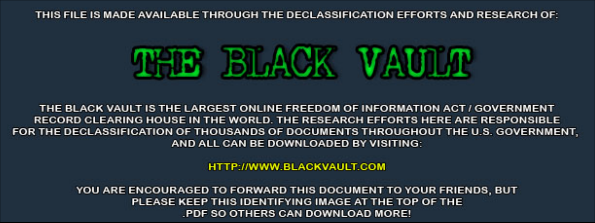THIS FILE IS MADE AVAILABLE THROUGH THE DECLASSIFICATION EFFORTS AND RESEARCH OF:



THE BLACK VAULT IS THE LARGEST ONLINE FREEDOM OF INFORMATION ACT / GOVERNMENT RECORD CLEARING HOUSE IN THE WORLD. THE RESEARCH EFFORTS HERE ARE RESPONSIBLE FOR THE DECLASSIFICATION OF THOUSANDS OF DOCUMENTS THROUGHOUT THE U.S. GOVERNMENT, AND ALL CAN BE DOWNLOADED BY VISITING:

**HTTP://WWW.BLACKVAULT.COM** 

YOU ARE ENCOURAGED TO FORWARD THIS DOCUMENT TO YOUR FRIENDS, BUT PLEASE KEEP THIS IDENTIFYING IMAGE AT THE TOP OF THE PDF SO OTHERS CAN DOWNLOAD MORE!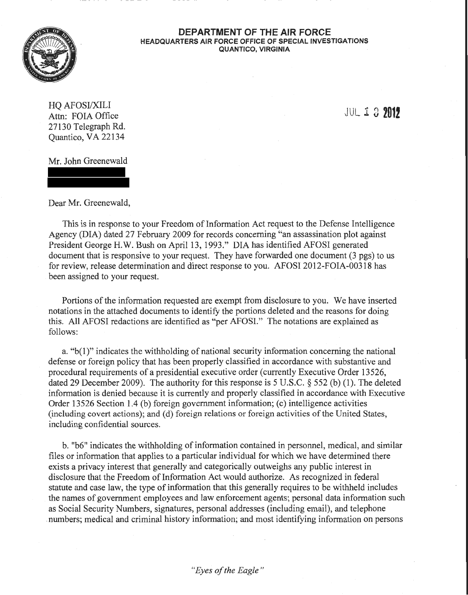

## **DEPARTMENT OF THE AIR FORCE HEADQUARTERS AIR FORCE OFFICE OF SPECIAL INVESTIGATIONS QUANTICO, VIRGINIA**

HO AFOSI/XILI Attn: FOIA Office 27130 Telegraph Rd. Quantico, VA 22134

JUL *1* 3 **201!** 

Mr. John Greenewald

Dear Mr. Greenewald,

This is in response to your Freedom of Information Act request to the Defense Intelligence Agency (DIA) dated 27 February 2009 for records concerning "an assassination plot against President George H.W. Bush on April 13, 1993." DIA has identified AFOSI generated document that is responsive to your request. They have forwarded one document (3 pgs) to us for review, release determination and direct response to you. AFOSI 2012-FOIA-00318 has been assigned to your request.

Portions of the information requested are exempt from disclosure to you. We have inserted notations in the attached documents to identify the portions deleted and the reasons for doing this. All AFOSI redactions are identified as "per AFOSI." The notations are explained as follows:

a. "b(l)" indicates the withholding of national security information concerning the national defense or foreign policy that has been properly classified in accordance with substantive and procedural requirements of a presidential executive order (currently Executive Order 13 526, dated 29 December 2009). The authority for this response is 5 U.S.C. § 552 (b) (1). The deleted information is denied because it is currently and properly classified in accordance with Executive Order 13526 Section 1.4 (b) foreign government information; (c) intelligence activities (including covert actions); and (d) foreign relations or foreign activities of the United States, including confidential sources.

b. "b6" indicates the withholding of information contained in personnel, medical, and similar files or information that applies to a particular individual for which we have determined there exists a privacy interest that generally and categorically outweighs any public interest in disclosure that the Freedom of Information Act would authorize. As recognized in federal statute and case law, the type of information that this generally requires to be withheld includes the names of government employees and law enforcement agents; personal data information such as Social Security Numbers, signatures, personal addresses (including email), and telephone . numbers; medical and criminal history information; and most identifying information on persons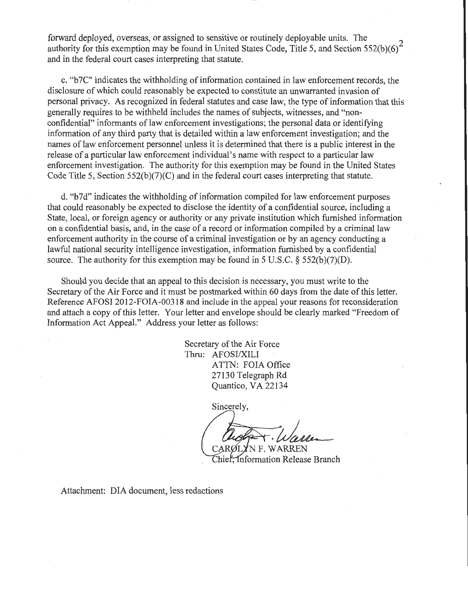forward deployed, overseas, or assigned to sensitive or routinely deployable units. The authority for this exemption may be found in United States Code, Title 5, and Section 552(b)(6)<sup>2</sup> and in the federal court cases interpreting that statute.

c. "b7C" indicates the withholding of information contained in law enforcement records, the disclosure of which could reasonably be expected to constitute an unwarranted invasion of personal privacy. As recognized in federal statutes and case law, the type of information that this generally requires to be withheld includes the names of subjects, witnesses, and "nonconfidential" informants of law enforcement investigations; the personal data or identifying information of any third party that is detailed within a law enforcement investigation; and the names of law enforcement personnel unless it is determined that there is a public interest in the release of a particular law enforcement individual's name with respect to a particular law enforcement investigation. The authority for this exemption may be found in the United States Code Title 5, Section 552(b)(7)(C) and in the federal court cases interpreting that statute.

d. "b7d" indicates the withholding of information compiled for law enforcement purposes that could reasonably be expected to disclose the identity of a confidential source, including a State, local, or foreign agency or authority or any private institution which furnished information on a confidential basis, and, in the case of a record or information compiled by a criminal law enforcement authority in the course of a criminal investigation or by an agency conducting a lawful national security intelligence investigation, information furnished by a confidential source. The authority for this exemption may be found in 5 U.S.C.  $\S$  552(b)(7)(D).

Should you decide that an appeal to this decision is necessary, you must write to the Secretary of the Air Force and it must be postmarked within 60 days from the date of this letter. Reference AFOSI 2012-FOIA-00318 and include in the appeal your reasons for reconsideration and attach a copy of this letter. Your letter and envelope should be clearly marked "Freedom of Information Act Appeal." Address your letter as follows:

> Secretary of the Air Force Thru: AFOSI/XILI ATIN: FOIA Office 27130 Telegraph Rd Quantico, VA 22134

> > Sincerely,

**NF WARREN** 

Chief, Information Release Branch

Attachment: DIA document, less redactions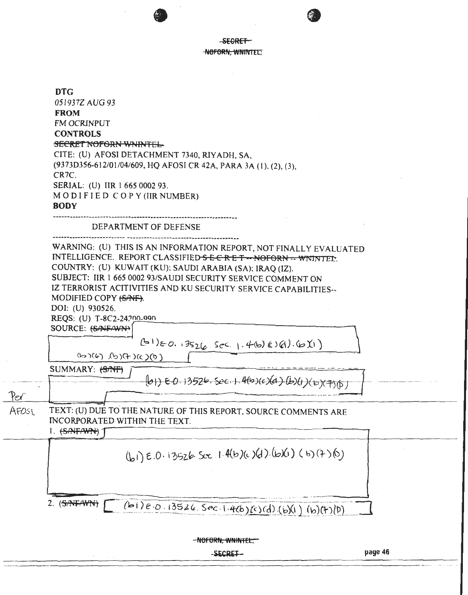-SECRET -NOFORN, WNINTEL.

**DTG** 051937Z AUG 93 **FROM FM OCRINPUT CONTROLS SECRET NOFORN WNINTEL-**CITE: (U) AFOSI DETACHMENT 7340, RIYADH, SA, (9373D356-612/01/04/609, HQ AFOSI CR 42A, PARA 3A (1), (2), (3), CR<sub>7C</sub> SERIAL: (U) IIR 1 665 0002 93. MODIFIED COPY (IIR NUMBER) **BODY** DEPARTMENT OF DEFENSE WARNING: (U) THIS IS AN INFORMATION REPORT, NOT FINALLY EVALUATED INTELLIGENCE. REPORT CLASSIFIED SECRET -- NOFORN -- WNINTED. COUNTRY: (U) KUWAIT (KU); SAUDI ARABIA (SA); IRAQ (IZ). SUBJECT: IIR 1 665 0002 93/SAUDI SECURITY SERVICE COMMENT ON IZ TERRORIST ACITIVITIES AND KU SECURITY SERVICE CAPABILITIES--MODIFIED COPY (SANF). DOI: (U) 930526. REQS: (U) T-8C2-24200-990 SOURCE: (SANFAWN)  $(B1)_{0.001}$  13526 Sec. 1.4(b) (0) (1) (b) (1)  $(0)(3)(f)(d), (d)(d)$ SUMMARY: (S/NF)  $(61)$  EQ. 13526. Sec. 1. 4(b)(c)(d)(b)(1)(b)(7)(f) Per AFOSI TEXT: (U) DUE TO THE NATURE OF THIS REPORT. SOURCE COMMENTS ARE INCORPORATED WITHIN THE TEXT.  $1.$  (SAIFAWN) (b1) E.O. 13526. See 1.4(b)(c) (d). (b)(1) (b) (7) (b) 2. (SANFANTH) [ (bi)e.0.13526. Sec.1.4(b)(c)(d)(b)(l)(b)(t)(p) -NOFORN, WNINTEL,

-SECRET-

page 46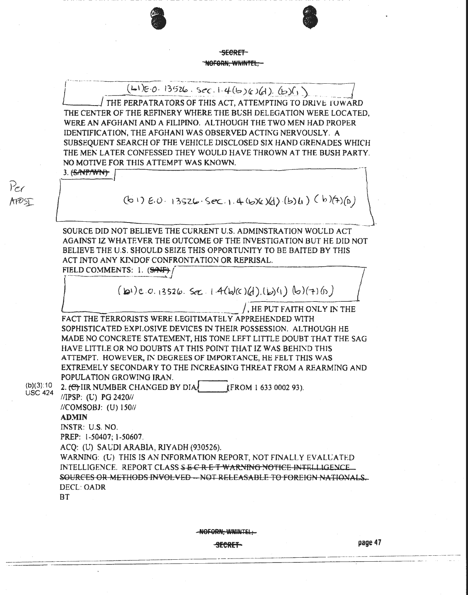SECRET-NOFORN. WNINTEL.

 $(L1)E.0.13526.5c$ c.1.4(b)(c)(d).(b)(j)

THE PERPATRATORS OF THIS ACT, ATTEMPTING TO DRIVE TOWARD THE CENTER OF THE REFINERY WHERE THE BUSH DELEGATION WERE LOCATED. WERE AN AFGHANI AND A FILIPINO. ALTHOUGH THE TWO MEN HAD PROPER IDENTIFICATION, THE AFGHANI WAS OBSERVED ACTING NERVOUSLY. A SUBSEOUENT SEARCH OF THE VEHICLE DISCLOSED SIX HAND GRENADES WHICH THE MEN LATER CONFESSED THEY WOULD HAVE THROWN AT THE BUSH PARTY. NO MOTIVE FOR THIS ATTEMPT WAS KNOWN.

3. <del>(SANT/WN)</del>

 $P_{e}$ 

AFOST

 $(b1) 6.0.13526.582.1.4(6)(d)(b)4)$  (b) (b)(a)(b)(a)

SOURCE DID NOT BELIEVE THE CURRENT U.S. ADMINSTRATION WOULD ACT AGAINST IZ WHATEVER THE OUTCOME OF THE INVESTIGATION BUT HE DID NOT BELIEVE THE U.S. SHOULD SEIZE THIS OPPORTUNITY TO BE BAITED BY THIS ACT INTO ANY KINDOF CONFRONTATION OR REPRISAL.

FIELD COMMENTS: 1. (SAF)

 $(D1)E.0.13526.$  Sec.  $1.4(b)(c)(d)(b)(1)(b)(7)(n)$ 

, HE PUT FAITH ONLY IN THE FACT THE TERRORISTS WERE LEGITIMATELY APPREHENDED WITH SOPHISTICATED EXPLOSIVE DEVICES IN THEIR POSSESSION. ALTHOUGH HE MADE NO CONCRETE STATEMENT, HIS TONE LEFT LITTLE DOUBT THAT THE SAG HAVE LITTLE OR NO DOUBTS AT THIS POINT THAT IZ WAS BEHIND THIS ATTEMPT. HOWEVER, IN DEGREES OF IMPORTANCE, HE FELT THIS WAS EXTREMELY SECONDARY TO THE INCREASING THREAT FROM A REARMING AND POPULATION GROWING IRAN.

 $(b)(3):10$ 2. <del>(C)</del> IIR NUMBER CHANGED BY DIA (FROM 1 633 0002 93). **USC 424** 

//IPSP: (U) PG 2420// //COMSOBJ: (U) 150// **ADMIN** 

INSTR: U.S. NO.

PREP: 1-50407: 1-50607.

ACQ: (U) SAUDI ARABIA, RIYADH (930526).

WARNING: (U) THIS IS AN INFORMATION REPORT, NOT FINALLY EVALUATED INTELLIGENCE. REPORT CLASS SECRET WARNING NOTICE INTELLIGENCE SOURCES OR METHODS INVOLVED -- NOT RELEASABLE TO FOREIGN NATIONALS. **DECL: OADR** 

**BT** 

NOFORN, WNINTEL,

**SECRET**